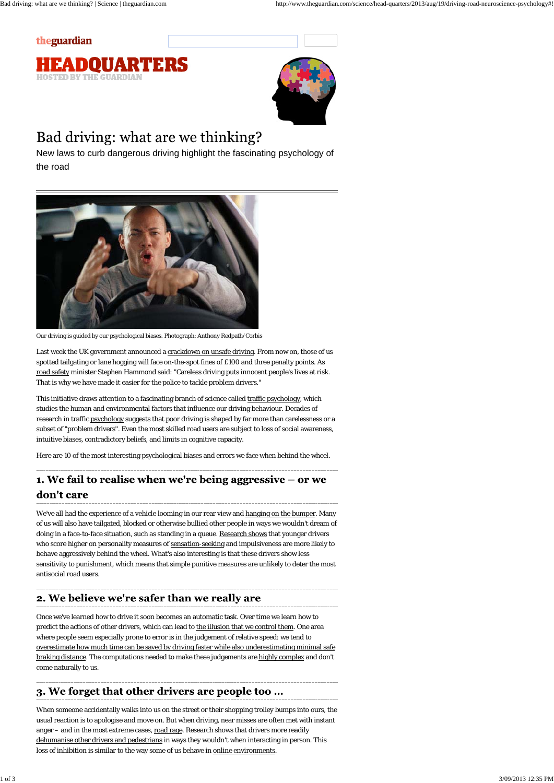### theguardian





# Bad driving: what are we thinking?



Our driving is guided by our psychological biases. Photograph: Anthony Redpath/Corbis

Last week the UK government announced a crackdown on unsafe driving. From now on, those of us spotted tailgating or lane hogging will face on-the-spot fines of £100 and three penalty points. As road safety minister Stephen Hammond said: "Careless driving puts innocent people's lives at risk. That is why we have made it easier for the police to tackle problem drivers."

This initiative draws attention to a fascinating branch of science called traffic psychology, which studies the human and environmental factors that influence our driving behaviour. Decades of research in traffic psychology suggests that poor driving is shaped by far more than carelessness or a subset of "problem drivers". Even the most skilled road users are subject to loss of social awareness, intuitive biases, contradictory beliefs, and limits in cognitive capacity.

We've all had the experience of a vehicle looming in our rear view and hanging on the bumper. Many of us will also have tailgated, blocked or otherwise bullied other people in ways we wouldn't dream of doing in a face-to-face situation, such as standing in a queue. Research shows that younger drivers who score higher on personality measures of sensation-seeking and impulsiveness are more likely to behave aggressively behind the wheel. What's also interesting is that these drivers show less sensitivity to punishment, which means that simple punitive measures are unlikely to deter the most antisocial road users.

#### 2. We believe we're safer than we really are

Here are 10 of the most interesting psychological biases and errors we face when behind the wheel.

# 1. We fail to realise when we're being aggressive - or we don't care

Once we've learned how to drive it soon becomes an automatic task. Over time we learn how to predict the actions of other drivers, which can lead to the illusion that we control them. One area where people seem especially prone to error is in the judgement of relative speed: we tend to overestimate how much time can be saved by driving faster while also underestimating minimal safe braking distance. The computations needed to make these judgements are highly complex and don't come naturally to us.

#### 3. We forget that other drivers are people too ...

When someone accidentally walks into us on the street or their shopping trolley bumps into ours, the usual reaction is to apologise and move on. But when driving, near misses are often met with instant anger – and in the most extreme cases, road rage. Research shows that drivers more readily dehumanise other drivers and pedestrians in ways they wouldn't when interacting in person. This loss of inhibition is similar to the way some of us behave in online environments.

New laws to curb dangerous driving highlight the fascinating psychology of the road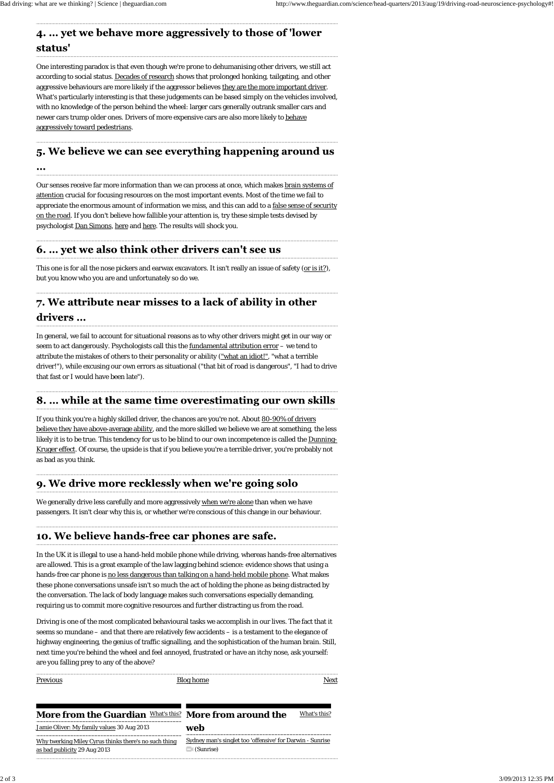## 4. ... yet we behave more aggressively to those of 'lower status'

| More from the Guardian What's this? More from around the                              | What's this?                                                           |  |
|---------------------------------------------------------------------------------------|------------------------------------------------------------------------|--|
| Jamie Oliver: My family values 30 Aug 2013                                            | web                                                                    |  |
| Why twerking Miley Cyrus thinks there's no such thing<br>as bad publicity 29 Aug 2013 | Sydney man's singlet too 'offensive' for Darwin - Sunrise<br>(Sunrise) |  |

One interesting paradox is that even though we're prone to dehumanising other drivers, we still act according to social status. Decades of research shows that prolonged honking, tailgating, and other aggressive behaviours are more likely if the aggressor believes they are the more important driver. What's particularly interesting is that these judgements can be based simply on the vehicles involved, with no knowledge of the person behind the wheel: larger cars generally outrank smaller cars and newer cars trump older ones. Drivers of more expensive cars are also more likely to behave aggressively toward pedestrians.

#### 5. We believe we can see everything happening around us

 $\bullet \bullet \bullet$ 

This one is for all the nose pickers and earwax excavators. It isn't really an issue of safety (or is it?), but you know who you are and unfortunately so do we.

# 7. We attribute near misses to a lack of ability in other drivers ...

Our senses receive far more information than we can process at once, which makes brain systems of attention crucial for focusing resources on the most important events. Most of the time we fail to appreciate the enormous amount of information we miss, and this can add to a false sense of security on the road. If you don't believe how fallible your attention is, try these simple tests devised by psychologist Dan Simons, here and here. The results will shock you.

#### 6. ... yet we also think other drivers can't see us

We generally drive less carefully and more aggressively when we're alone than when we have passengers. It isn't clear why this is, or whether we're conscious of this change in our behaviour.

#### 10. We believe hands-free car phones are safe.

In general, we fail to account for situational reasons as to why other drivers might get in our way or seem to act dangerously. Psychologists call this the fundamental attribution error – we tend to attribute the mistakes of others to their personality or ability ("what an idiot!", "what a terrible driver!"), while excusing our own errors as situational ("that bit of road is dangerous", "I had to drive that fast or I would have been late").

#### 8. ... while at the same time overestimating our own skills

Previous Next Blog home



If you think you're a highly skilled driver, the chances are you're not. About 80-90% of drivers believe they have above-average ability, and the more skilled we believe we are at something, the less likely it is to be true. This tendency for us to be blind to our own incompetence is called the Dunning-Kruger effect. Of course, the upside is that if you believe you're a terrible driver, you're probably not as bad as you think.

#### 9. We drive more recklessly when we're going solo

In the UK it is illegal to use a hand-held mobile phone while driving, whereas hands-free alternatives are allowed. This is a great example of the law lagging behind science: evidence shows that using a hands-free car phone is no less dangerous than talking on a hand-held mobile phone. What makes these phone conversations unsafe isn't so much the act of holding the phone as being distracted by

the conversation. The lack of body language makes such conversations especially demanding, requiring us to commit more cognitive resources and further distracting us from the road.

Driving is one of the most complicated behavioural tasks we accomplish in our lives. The fact that it seems so mundane – and that there are relatively few accidents – is a testament to the elegance of highway engineering, the genius of traffic signalling, and the sophistication of the human brain. Still, next time you're behind the wheel and feel annoyed, frustrated or have an itchy nose, ask yourself: are you falling prey to any of the above?